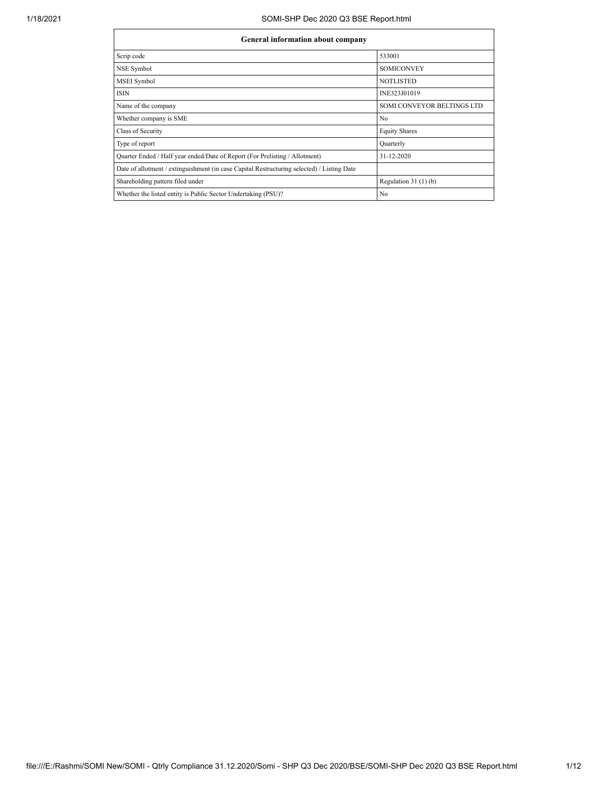$\mathbf{r}$ 

۰

| General information about company                                                          |                                   |  |  |  |  |  |  |  |  |  |  |
|--------------------------------------------------------------------------------------------|-----------------------------------|--|--|--|--|--|--|--|--|--|--|
| Scrip code                                                                                 | 533001                            |  |  |  |  |  |  |  |  |  |  |
| <b>NSE Symbol</b>                                                                          | <b>SOMICONVEY</b>                 |  |  |  |  |  |  |  |  |  |  |
| <b>MSEI</b> Symbol                                                                         | <b>NOTLISTED</b>                  |  |  |  |  |  |  |  |  |  |  |
| <b>ISIN</b>                                                                                | INE323J01019                      |  |  |  |  |  |  |  |  |  |  |
| Name of the company                                                                        | <b>SOMI CONVEYOR BELTINGS LTD</b> |  |  |  |  |  |  |  |  |  |  |
| Whether company is SME                                                                     | N <sub>0</sub>                    |  |  |  |  |  |  |  |  |  |  |
| Class of Security                                                                          | <b>Equity Shares</b>              |  |  |  |  |  |  |  |  |  |  |
| Type of report                                                                             | Quarterly                         |  |  |  |  |  |  |  |  |  |  |
| Quarter Ended / Half year ended/Date of Report (For Prelisting / Allotment)                | 31-12-2020                        |  |  |  |  |  |  |  |  |  |  |
| Date of allotment / extinguishment (in case Capital Restructuring selected) / Listing Date |                                   |  |  |  |  |  |  |  |  |  |  |
| Shareholding pattern filed under                                                           | Regulation $31(1)(b)$             |  |  |  |  |  |  |  |  |  |  |
| Whether the listed entity is Public Sector Undertaking (PSU)?                              | N <sub>0</sub>                    |  |  |  |  |  |  |  |  |  |  |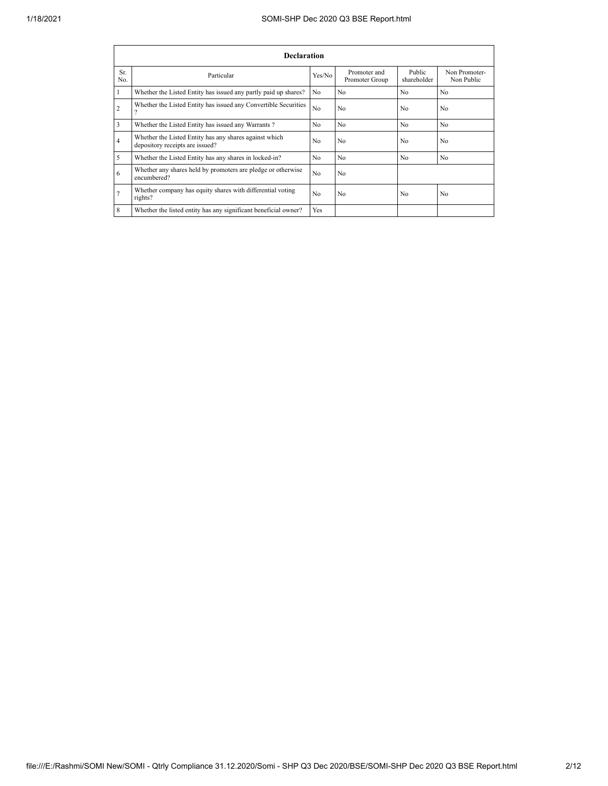|                | <b>Declaration</b>                                                                        |                |                                |                       |                             |  |  |  |  |  |  |  |  |  |
|----------------|-------------------------------------------------------------------------------------------|----------------|--------------------------------|-----------------------|-----------------------------|--|--|--|--|--|--|--|--|--|
| Sr.<br>No.     | Particular                                                                                | Yes/No         | Promoter and<br>Promoter Group | Public<br>shareholder | Non Promoter-<br>Non Public |  |  |  |  |  |  |  |  |  |
| $\mathbf{1}$   | Whether the Listed Entity has issued any partly paid up shares?                           | N <sub>0</sub> | N <sub>0</sub>                 | N <sub>0</sub>        | N <sub>0</sub>              |  |  |  |  |  |  |  |  |  |
| $\overline{2}$ | Whether the Listed Entity has issued any Convertible Securities<br>9                      | N <sub>0</sub> | N <sub>0</sub>                 | No                    | N <sub>0</sub>              |  |  |  |  |  |  |  |  |  |
| $\overline{3}$ | Whether the Listed Entity has issued any Warrants?                                        | N <sub>0</sub> | N <sub>0</sub>                 | N <sub>0</sub>        | N <sub>0</sub>              |  |  |  |  |  |  |  |  |  |
| $\overline{4}$ | Whether the Listed Entity has any shares against which<br>depository receipts are issued? | N <sub>0</sub> | N <sub>0</sub>                 | N <sub>0</sub>        | N <sub>0</sub>              |  |  |  |  |  |  |  |  |  |
| 5              | Whether the Listed Entity has any shares in locked-in?                                    | N <sub>0</sub> | N <sub>0</sub>                 | N <sub>0</sub>        | N <sub>0</sub>              |  |  |  |  |  |  |  |  |  |
| 6              | Whether any shares held by promoters are pledge or otherwise<br>encumbered?               | N <sub>0</sub> | N <sub>0</sub>                 |                       |                             |  |  |  |  |  |  |  |  |  |
| $\overline{7}$ | Whether company has equity shares with differential voting<br>rights?                     | N <sub>0</sub> | N <sub>0</sub>                 | N <sub>0</sub>        | N <sub>0</sub>              |  |  |  |  |  |  |  |  |  |
| 8              | Whether the listed entity has any significant beneficial owner?                           | Yes            |                                |                       |                             |  |  |  |  |  |  |  |  |  |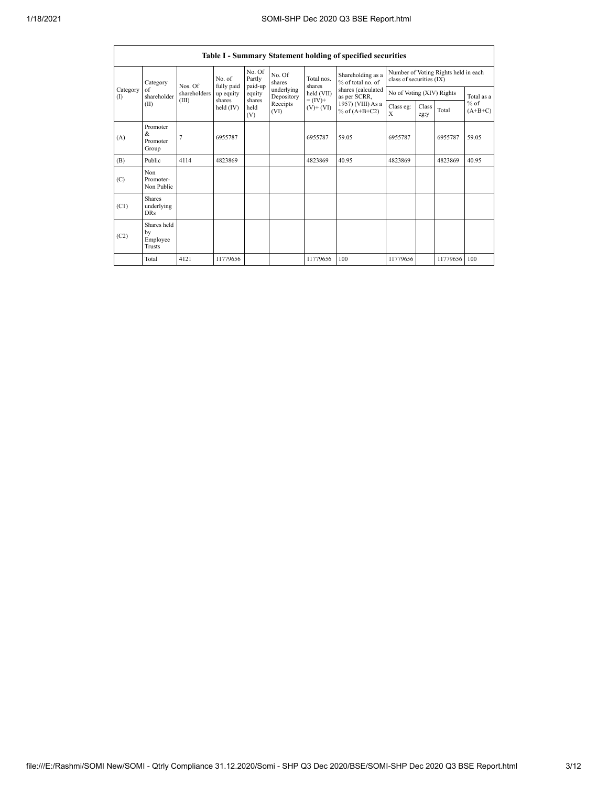|                    |                                           |                |                     |                             |                          |                                            | Table I - Summary Statement holding of specified securities                                                         |                                                                  |               |          |                     |
|--------------------|-------------------------------------------|----------------|---------------------|-----------------------------|--------------------------|--------------------------------------------|---------------------------------------------------------------------------------------------------------------------|------------------------------------------------------------------|---------------|----------|---------------------|
|                    | Category<br>of<br>shareholder<br>(II)     | Nos. Of        | No of<br>fully paid | No. Of<br>Partly<br>paid-up | No. Of<br>shares         | Total nos.<br>shares                       | Shareholding as a<br>% of total no of<br>shares (calculated<br>as per SCRR,<br>1957) (VIII) As a<br>% of $(A+B+C2)$ | Number of Voting Rights held in each<br>class of securities (IX) |               |          |                     |
| Category<br>$($ I) |                                           | shareholders   | up equity           | equity                      | underlying<br>Depository | held (VII)<br>$= (IV) +$<br>$(V)$ + $(VI)$ |                                                                                                                     | No of Voting (XIV) Rights                                        |               |          | Total as a          |
|                    |                                           | (III)          | shares<br>held (IV) | shares<br>held<br>(V)       | Receipts<br>(VI)         |                                            |                                                                                                                     | Class eg:<br>X                                                   | Class<br>eg:y | Total    | $%$ of<br>$(A+B+C)$ |
| (A)                | Promoter<br>&<br>Promoter<br>Group        | $\overline{7}$ | 6955787             |                             |                          | 6955787                                    | 59.05                                                                                                               | 6955787                                                          |               | 6955787  | 59.05               |
| (B)                | Public                                    | 4114           | 4823869             |                             |                          | 4823869                                    | 40.95                                                                                                               | 4823869                                                          |               | 4823869  | 40.95               |
| (C)                | Non<br>Promoter-<br>Non Public            |                |                     |                             |                          |                                            |                                                                                                                     |                                                                  |               |          |                     |
| (C1)               | <b>Shares</b><br>underlying<br><b>DRs</b> |                |                     |                             |                          |                                            |                                                                                                                     |                                                                  |               |          |                     |
| (C2)               | Shares held<br>by<br>Employee<br>Trusts   |                |                     |                             |                          |                                            |                                                                                                                     |                                                                  |               |          |                     |
|                    | Total                                     | 4121           | 11779656            |                             |                          | 11779656                                   | 100                                                                                                                 | 11779656                                                         |               | 11779656 | 100                 |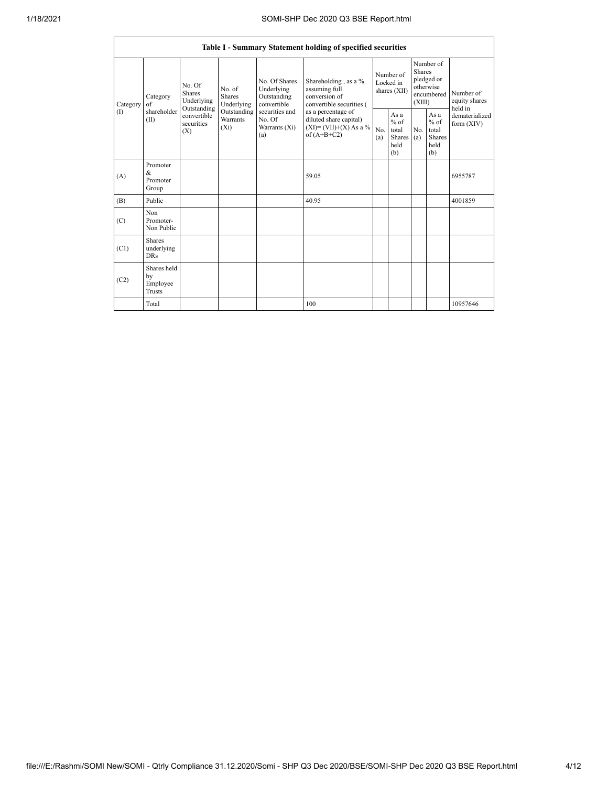|                 | Table I - Summary Statement holding of specified securities |                                               |                                       |                                                           |                                                                                            |                                        |                                                  |                                                                               |                                                         |                                       |  |  |  |  |
|-----------------|-------------------------------------------------------------|-----------------------------------------------|---------------------------------------|-----------------------------------------------------------|--------------------------------------------------------------------------------------------|----------------------------------------|--------------------------------------------------|-------------------------------------------------------------------------------|---------------------------------------------------------|---------------------------------------|--|--|--|--|
| Category<br>(1) | Category<br>of                                              | No. Of<br>Shares<br>Underlying<br>Outstanding | No. of<br><b>Shares</b><br>Underlying | No. Of Shares<br>Underlying<br>Outstanding<br>convertible | Shareholding, as a %<br>assuming full<br>conversion of<br>convertible securities (         | Number of<br>Locked in<br>shares (XII) |                                                  | Number of<br><b>Shares</b><br>pledged or<br>otherwise<br>encumbered<br>(XIII) |                                                         | Number of<br>equity shares<br>held in |  |  |  |  |
|                 | shareholder<br>(II)                                         | convertible<br>securities<br>(X)              | Outstanding<br>Warrants<br>$(X_i)$    | securities and<br>No. Of<br>Warrants (Xi)<br>(a)          | as a percentage of<br>diluted share capital)<br>$(XI) = (VII)+(X) As a %$<br>of $(A+B+C2)$ | No.<br>(a)                             | As a<br>$%$ of<br>total<br>Shares<br>held<br>(b) | No.<br>(a)                                                                    | As a<br>$%$ of<br>total<br><b>Shares</b><br>held<br>(b) | dematerialized<br>form $(XIV)$        |  |  |  |  |
| (A)             | Promoter<br>&<br>Promoter<br>Group                          |                                               |                                       |                                                           | 59.05                                                                                      |                                        |                                                  |                                                                               |                                                         | 6955787                               |  |  |  |  |
| (B)             | Public                                                      |                                               |                                       |                                                           | 40.95                                                                                      |                                        |                                                  |                                                                               |                                                         | 4001859                               |  |  |  |  |
| (C)             | Non<br>Promoter-<br>Non Public                              |                                               |                                       |                                                           |                                                                                            |                                        |                                                  |                                                                               |                                                         |                                       |  |  |  |  |
| (C1)            | Shares<br>underlying<br><b>DRs</b>                          |                                               |                                       |                                                           |                                                                                            |                                        |                                                  |                                                                               |                                                         |                                       |  |  |  |  |
| (C2)            | Shares held<br>by<br>Employee<br>Trusts                     |                                               |                                       |                                                           |                                                                                            |                                        |                                                  |                                                                               |                                                         |                                       |  |  |  |  |
|                 | Total                                                       |                                               |                                       |                                                           | 100                                                                                        |                                        |                                                  |                                                                               |                                                         | 10957646                              |  |  |  |  |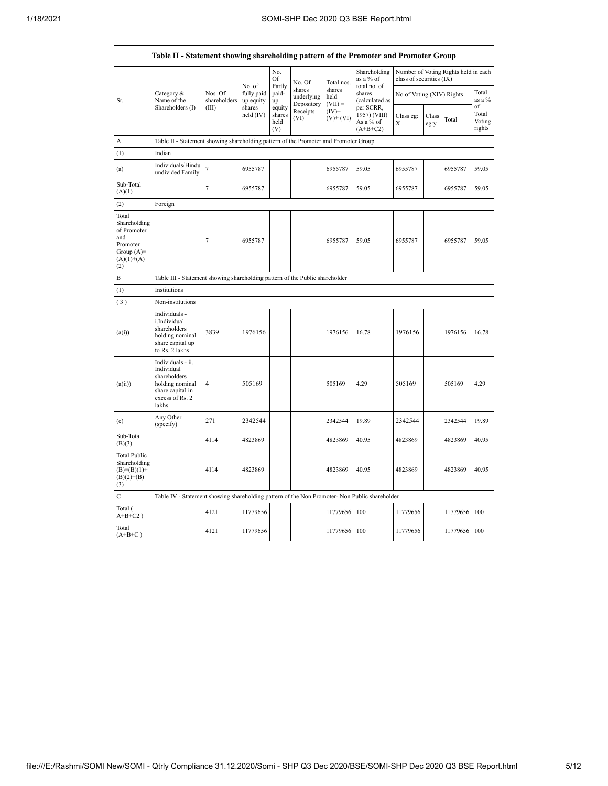|                                                                                                | Table II - Statement showing shareholding pattern of the Promoter and Promoter Group                                |                                                                              |                                   |                                 |                                    |                             |                                                      |                           |               |                                      |                                 |  |  |  |
|------------------------------------------------------------------------------------------------|---------------------------------------------------------------------------------------------------------------------|------------------------------------------------------------------------------|-----------------------------------|---------------------------------|------------------------------------|-----------------------------|------------------------------------------------------|---------------------------|---------------|--------------------------------------|---------------------------------|--|--|--|
|                                                                                                |                                                                                                                     |                                                                              |                                   | No.<br>Of                       | No. Of                             | Total nos.                  | Shareholding<br>as a % of                            | class of securities (IX)  |               | Number of Voting Rights held in each |                                 |  |  |  |
| Sr.                                                                                            | Category &<br>Name of the                                                                                           | Nos. Of<br>shareholders                                                      | No. of<br>fully paid<br>up equity | Partly<br>paid-<br>up           | shares<br>underlying<br>Depository | shares<br>held<br>$(VII) =$ | total no. of<br>shares<br>(calculated as             | No of Voting (XIV) Rights |               |                                      | Total<br>as a %                 |  |  |  |
|                                                                                                | Shareholders (I)                                                                                                    | (III)                                                                        | shares<br>held (IV)               | equity<br>shares<br>held<br>(V) | Receipts<br>(VI)                   | $(IV)+$<br>$(V)+(VI)$       | per SCRR,<br>1957) (VIII)<br>As a % of<br>$(A+B+C2)$ | Class eg:<br>X            | Class<br>eg:y | Total                                | of<br>Total<br>Voting<br>rights |  |  |  |
| А                                                                                              | Table II - Statement showing shareholding pattern of the Promoter and Promoter Group                                |                                                                              |                                   |                                 |                                    |                             |                                                      |                           |               |                                      |                                 |  |  |  |
| (1)                                                                                            | Indian                                                                                                              |                                                                              |                                   |                                 |                                    |                             |                                                      |                           |               |                                      |                                 |  |  |  |
| (a)                                                                                            | Individuals/Hindu<br>undivided Family                                                                               | $\overline{\mathcal{I}}$                                                     | 6955787                           |                                 |                                    | 6955787                     | 59.05                                                | 6955787                   |               | 6955787                              | 59.05                           |  |  |  |
| Sub-Total<br>(A)(1)                                                                            |                                                                                                                     | $\overline{7}$                                                               | 6955787                           |                                 |                                    | 6955787                     | 59.05                                                | 6955787                   |               | 6955787                              | 59.05                           |  |  |  |
| (2)                                                                                            | Foreign                                                                                                             |                                                                              |                                   |                                 |                                    |                             |                                                      |                           |               |                                      |                                 |  |  |  |
| Total<br>Shareholding<br>of Promoter<br>and<br>Promoter<br>Group $(A)=$<br>$(A)(1)+(A)$<br>(2) |                                                                                                                     | $\overline{7}$                                                               | 6955787                           |                                 |                                    | 6955787                     | 59.05                                                | 6955787                   |               | 6955787                              | 59.05                           |  |  |  |
| B                                                                                              |                                                                                                                     | Table III - Statement showing shareholding pattern of the Public shareholder |                                   |                                 |                                    |                             |                                                      |                           |               |                                      |                                 |  |  |  |
| (1)                                                                                            | Institutions                                                                                                        |                                                                              |                                   |                                 |                                    |                             |                                                      |                           |               |                                      |                                 |  |  |  |
| (3)                                                                                            | Non-institutions                                                                                                    |                                                                              |                                   |                                 |                                    |                             |                                                      |                           |               |                                      |                                 |  |  |  |
| (a(i))                                                                                         | Individuals -<br>i.Individual<br>shareholders<br>holding nominal<br>share capital up<br>to Rs. 2 lakhs.             | 3839                                                                         | 1976156                           |                                 |                                    | 1976156                     | 16.78                                                | 1976156                   |               | 1976156                              | 16.78                           |  |  |  |
| (a(ii))                                                                                        | Individuals - ii.<br>Individual<br>shareholders<br>holding nominal<br>share capital in<br>excess of Rs. 2<br>lakhs. | $\overline{4}$                                                               | 505169                            |                                 |                                    | 505169                      | 4.29                                                 | 505169                    |               | 505169                               | 4.29                            |  |  |  |
| (e)                                                                                            | Any Other<br>(specify)                                                                                              | 271                                                                          | 2342544                           |                                 |                                    | 2342544                     | 19.89                                                | 2342544                   |               | 2342544                              | 19.89                           |  |  |  |
| Sub-Total<br>(B)(3)                                                                            |                                                                                                                     | 4114                                                                         | 4823869                           |                                 |                                    | 4823869                     | 40.95                                                | 4823869                   |               | 4823869                              | 40.95                           |  |  |  |
| <b>Total Public</b><br>Shareholding<br>$(B)= (B)(1) +$<br>$(B)(2)+(B)$<br>(3)                  |                                                                                                                     | 4114                                                                         | 4823869                           |                                 |                                    | 4823869                     | 40.95                                                | 4823869                   |               | 4823869                              | 40.95                           |  |  |  |
| $\mathbf C$                                                                                    | Table IV - Statement showing shareholding pattern of the Non Promoter- Non Public shareholder                       |                                                                              |                                   |                                 |                                    |                             |                                                      |                           |               |                                      |                                 |  |  |  |
| Total (<br>$A+B+C2$ )                                                                          |                                                                                                                     | 4121                                                                         | 11779656                          |                                 |                                    | 11779656                    | 100                                                  | 11779656                  |               | 11779656                             | 100                             |  |  |  |
| Total<br>$(A+B+C)$                                                                             |                                                                                                                     | 4121                                                                         | 11779656                          |                                 |                                    | 11779656                    | 100                                                  | 11779656                  |               | 11779656                             | 100                             |  |  |  |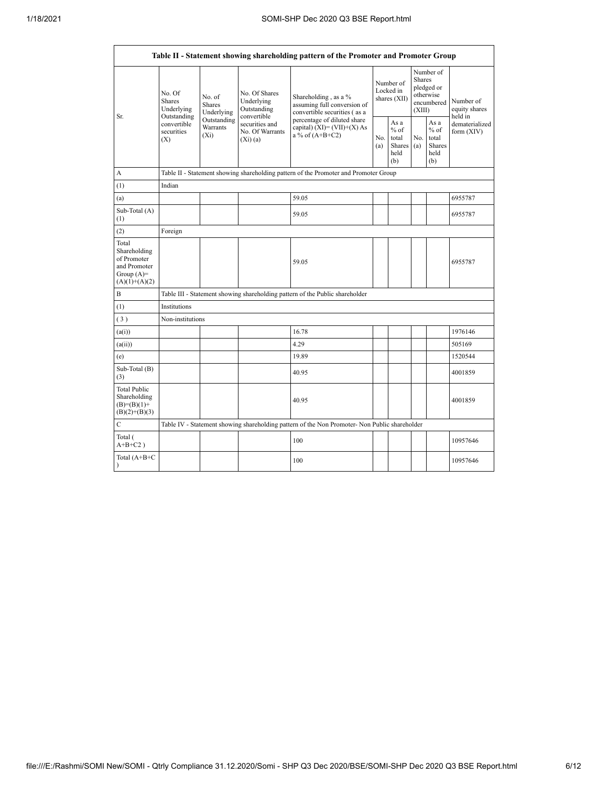$\Gamma$ 

 $\overline{\phantom{a}}$ 

| Table II - Statement showing shareholding pattern of the Promoter and Promoter Group    |                                                      |                                                                                      |                                                           |                                                                                               |            |                                                  |            |                                                                               |                                       |  |  |  |  |  |
|-----------------------------------------------------------------------------------------|------------------------------------------------------|--------------------------------------------------------------------------------------|-----------------------------------------------------------|-----------------------------------------------------------------------------------------------|------------|--------------------------------------------------|------------|-------------------------------------------------------------------------------|---------------------------------------|--|--|--|--|--|
| Sr.                                                                                     | No. Of<br><b>Shares</b><br>Underlying<br>Outstanding | No. of<br><b>Shares</b><br>Underlying                                                | No. Of Shares<br>Underlying<br>Outstanding<br>convertible | Shareholding, as a %<br>assuming full conversion of<br>convertible securities (as a           |            | Number of<br>Locked in<br>shares (XII)           |            | Number of<br><b>Shares</b><br>pledged or<br>otherwise<br>encumbered<br>(XIII) | Number of<br>equity shares<br>held in |  |  |  |  |  |
|                                                                                         | convertible<br>securities<br>(X)                     | Outstanding<br>Warrants<br>$(X_i)$                                                   | securities and<br>No. Of Warrants<br>(Xi)(a)              | percentage of diluted share<br>capital) $(XI) = (VII)+(X) As$<br>a % of $(A+B+C2)$            | No.<br>(a) | As a<br>$%$ of<br>total<br>Shares<br>held<br>(b) | No.<br>(a) | As a<br>$%$ of<br>total<br>Shares<br>held<br>(b)                              | dematerialized<br>form (XIV)          |  |  |  |  |  |
| A                                                                                       |                                                      | Table II - Statement showing shareholding pattern of the Promoter and Promoter Group |                                                           |                                                                                               |            |                                                  |            |                                                                               |                                       |  |  |  |  |  |
| (1)                                                                                     | Indian                                               |                                                                                      |                                                           |                                                                                               |            |                                                  |            |                                                                               |                                       |  |  |  |  |  |
| (a)                                                                                     |                                                      |                                                                                      |                                                           | 59.05                                                                                         |            |                                                  |            |                                                                               | 6955787                               |  |  |  |  |  |
| Sub-Total (A)<br>(1)                                                                    |                                                      |                                                                                      |                                                           | 59.05                                                                                         |            |                                                  |            |                                                                               | 6955787                               |  |  |  |  |  |
| (2)                                                                                     | Foreign                                              |                                                                                      |                                                           |                                                                                               |            |                                                  |            |                                                                               |                                       |  |  |  |  |  |
| Total<br>Shareholding<br>of Promoter<br>and Promoter<br>Group $(A)=$<br>$(A)(1)+(A)(2)$ |                                                      |                                                                                      |                                                           | 59.05                                                                                         |            |                                                  |            |                                                                               | 6955787                               |  |  |  |  |  |
| B                                                                                       |                                                      |                                                                                      |                                                           | Table III - Statement showing shareholding pattern of the Public shareholder                  |            |                                                  |            |                                                                               |                                       |  |  |  |  |  |
| (1)                                                                                     | Institutions                                         |                                                                                      |                                                           |                                                                                               |            |                                                  |            |                                                                               |                                       |  |  |  |  |  |
| (3)                                                                                     | Non-institutions                                     |                                                                                      |                                                           |                                                                                               |            |                                                  |            |                                                                               |                                       |  |  |  |  |  |
| (a(i))                                                                                  |                                                      |                                                                                      |                                                           | 16.78                                                                                         |            |                                                  |            |                                                                               | 1976146                               |  |  |  |  |  |
| (a(ii))                                                                                 |                                                      |                                                                                      |                                                           | 4.29                                                                                          |            |                                                  |            |                                                                               | 505169                                |  |  |  |  |  |
| (e)                                                                                     |                                                      |                                                                                      |                                                           | 19.89                                                                                         |            |                                                  |            |                                                                               | 1520544                               |  |  |  |  |  |
| Sub-Total (B)<br>(3)                                                                    |                                                      |                                                                                      |                                                           | 40.95                                                                                         |            |                                                  |            |                                                                               | 4001859                               |  |  |  |  |  |
| <b>Total Public</b><br>Shareholding<br>$(B)= (B)(1) +$<br>$(B)(2)+(B)(3)$               |                                                      |                                                                                      |                                                           | 40.95                                                                                         |            |                                                  |            |                                                                               | 4001859                               |  |  |  |  |  |
| $\mathbf C$                                                                             |                                                      |                                                                                      |                                                           | Table IV - Statement showing shareholding pattern of the Non Promoter- Non Public shareholder |            |                                                  |            |                                                                               |                                       |  |  |  |  |  |
| Total (<br>$A+B+C2$ )                                                                   |                                                      |                                                                                      |                                                           | 100                                                                                           |            |                                                  |            |                                                                               | 10957646                              |  |  |  |  |  |
| Total (A+B+C                                                                            |                                                      |                                                                                      |                                                           | 100                                                                                           |            |                                                  |            |                                                                               | 10957646                              |  |  |  |  |  |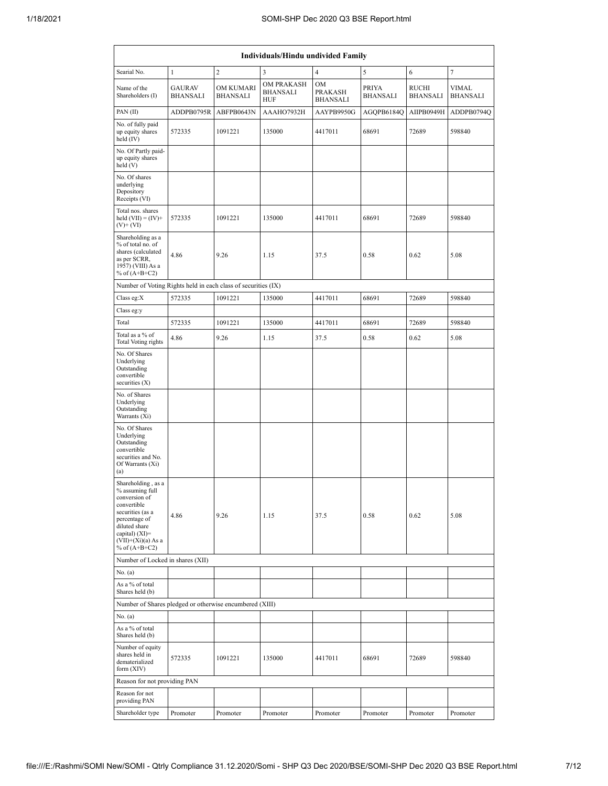| <b>Individuals/Hindu undivided Family</b>                                                                                                                                                |                                  |                              |                                             |                                         |                          |                          |                                 |  |  |  |  |  |  |
|------------------------------------------------------------------------------------------------------------------------------------------------------------------------------------------|----------------------------------|------------------------------|---------------------------------------------|-----------------------------------------|--------------------------|--------------------------|---------------------------------|--|--|--|--|--|--|
| 3<br>$\overline{c}$<br>$\overline{4}$<br>5<br>6<br>$\tau$<br>Searial No.<br>$\mathbf{1}$                                                                                                 |                                  |                              |                                             |                                         |                          |                          |                                 |  |  |  |  |  |  |
| Name of the<br>Shareholders (I)                                                                                                                                                          | <b>GAURAV</b><br><b>BHANSALI</b> | OM KUMARI<br><b>BHANSALI</b> | OM PRAKASH<br><b>BHANSALI</b><br><b>HUF</b> | OM<br><b>PRAKASH</b><br><b>BHANSALI</b> | PRIYA<br><b>BHANSALI</b> | RUCHI<br><b>BHANSALI</b> | <b>VIMAL</b><br><b>BHANSALI</b> |  |  |  |  |  |  |
| PAN (II)                                                                                                                                                                                 | ADDPB0795R                       | ABFPB0643N                   | AAAHO7932H                                  | AAYPB9950G                              | AGQPB6184Q               | AIIPB0949H               | ADDPB0794Q                      |  |  |  |  |  |  |
| No. of fully paid<br>up equity shares<br>held (IV)                                                                                                                                       | 572335                           | 1091221                      | 135000                                      | 4417011                                 | 68691                    | 72689                    | 598840                          |  |  |  |  |  |  |
| No. Of Partly paid-<br>up equity shares<br>held (V)                                                                                                                                      |                                  |                              |                                             |                                         |                          |                          |                                 |  |  |  |  |  |  |
| No. Of shares<br>underlying<br>Depository<br>Receipts (VI)                                                                                                                               |                                  |                              |                                             |                                         |                          |                          |                                 |  |  |  |  |  |  |
| Total nos. shares<br>held $(VII) = (IV) +$<br>$(V)$ + $(VI)$                                                                                                                             | 572335                           | 1091221                      | 135000                                      | 4417011                                 | 68691                    | 72689                    | 598840                          |  |  |  |  |  |  |
| Shareholding as a<br>% of total no. of<br>shares (calculated<br>as per SCRR,<br>1957) (VIII) As a<br>% of $(A+B+C2)$                                                                     | 4.86                             | 9.26                         | 1.15                                        | 37.5                                    | 0.58                     | 0.62                     | 5.08                            |  |  |  |  |  |  |
| Number of Voting Rights held in each class of securities (IX)                                                                                                                            |                                  |                              |                                             |                                         |                          |                          |                                 |  |  |  |  |  |  |
| Class eg:X                                                                                                                                                                               | 572335                           | 1091221                      | 135000                                      | 4417011                                 | 68691                    | 72689                    | 598840                          |  |  |  |  |  |  |
| Class eg:y                                                                                                                                                                               |                                  |                              |                                             |                                         |                          |                          |                                 |  |  |  |  |  |  |
| Total                                                                                                                                                                                    | 572335                           | 1091221                      | 135000                                      | 4417011                                 | 68691                    | 72689                    | 598840                          |  |  |  |  |  |  |
| Total as a % of<br><b>Total Voting rights</b>                                                                                                                                            | 4.86                             | 9.26                         | 1.15                                        | 37.5                                    | 0.58                     | 0.62                     | 5.08                            |  |  |  |  |  |  |
| No. Of Shares<br>Underlying<br>Outstanding<br>convertible<br>securities (X)                                                                                                              |                                  |                              |                                             |                                         |                          |                          |                                 |  |  |  |  |  |  |
| No. of Shares<br>Underlying<br>Outstanding<br>Warrants (Xi)                                                                                                                              |                                  |                              |                                             |                                         |                          |                          |                                 |  |  |  |  |  |  |
| No. Of Shares<br>Underlying<br>Outstanding<br>convertible<br>securities and No.<br>Of Warrants (Xi)<br>(a)                                                                               |                                  |                              |                                             |                                         |                          |                          |                                 |  |  |  |  |  |  |
| Shareholding, as a<br>% assuming full<br>conversion of<br>convertible<br>securities (as a<br>percentage of<br>diluted share<br>capital) (XI)=<br>$(VII)+(Xi)(a)$ As a<br>% of $(A+B+C2)$ | 4.86                             | 9.26                         | 1.15                                        | 37.5                                    | 0.58                     | 0.62                     | 5.08                            |  |  |  |  |  |  |
| Number of Locked in shares (XII)                                                                                                                                                         |                                  |                              |                                             |                                         |                          |                          |                                 |  |  |  |  |  |  |
| No. (a)                                                                                                                                                                                  |                                  |                              |                                             |                                         |                          |                          |                                 |  |  |  |  |  |  |
| As a % of total<br>Shares held (b)                                                                                                                                                       |                                  |                              |                                             |                                         |                          |                          |                                 |  |  |  |  |  |  |
| Number of Shares pledged or otherwise encumbered (XIII)                                                                                                                                  |                                  |                              |                                             |                                         |                          |                          |                                 |  |  |  |  |  |  |
| No. (a)<br>As a % of total<br>Shares held (b)                                                                                                                                            |                                  |                              |                                             |                                         |                          |                          |                                 |  |  |  |  |  |  |
| Number of equity<br>shares held in<br>dematerialized<br>form (XIV)                                                                                                                       | 572335                           | 1091221                      | 135000                                      | 4417011                                 | 68691                    | 72689                    | 598840                          |  |  |  |  |  |  |
| Reason for not providing PAN                                                                                                                                                             |                                  |                              |                                             |                                         |                          |                          |                                 |  |  |  |  |  |  |
| Reason for not<br>providing PAN                                                                                                                                                          |                                  |                              |                                             |                                         |                          |                          |                                 |  |  |  |  |  |  |
| Shareholder type                                                                                                                                                                         | Promoter                         | Promoter                     | Promoter                                    | Promoter                                | Promoter                 | Promoter                 | Promoter                        |  |  |  |  |  |  |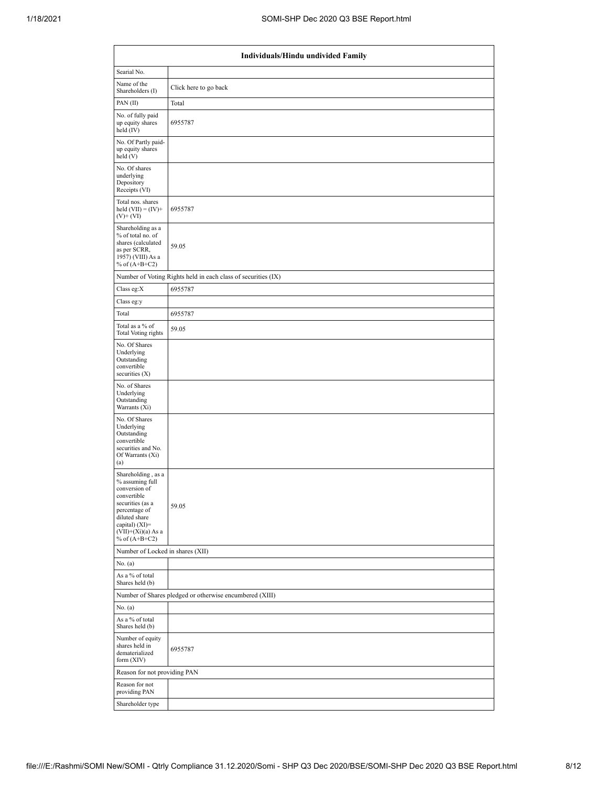| Individuals/Hindu undivided Family                                                                                                                                                           |                                                               |  |  |  |  |  |  |  |  |  |
|----------------------------------------------------------------------------------------------------------------------------------------------------------------------------------------------|---------------------------------------------------------------|--|--|--|--|--|--|--|--|--|
| Searial No.                                                                                                                                                                                  |                                                               |  |  |  |  |  |  |  |  |  |
| Name of the<br>Shareholders (I)                                                                                                                                                              | Click here to go back                                         |  |  |  |  |  |  |  |  |  |
| PAN (II)                                                                                                                                                                                     | Total                                                         |  |  |  |  |  |  |  |  |  |
| No. of fully paid<br>up equity shares<br>held $(IV)$                                                                                                                                         | 6955787                                                       |  |  |  |  |  |  |  |  |  |
| No. Of Partly paid-<br>up equity shares<br>held (V)                                                                                                                                          |                                                               |  |  |  |  |  |  |  |  |  |
| No. Of shares<br>underlying<br>Depository<br>Receipts (VI)                                                                                                                                   |                                                               |  |  |  |  |  |  |  |  |  |
| Total nos. shares<br>held $(VII) = (IV) +$<br>$(V)+(VI)$                                                                                                                                     | 6955787                                                       |  |  |  |  |  |  |  |  |  |
| Shareholding as a<br>% of total no. of<br>shares (calculated<br>as per SCRR,<br>1957) (VIII) As a<br>% of $(A+B+C2)$                                                                         | 59.05                                                         |  |  |  |  |  |  |  |  |  |
|                                                                                                                                                                                              | Number of Voting Rights held in each class of securities (IX) |  |  |  |  |  |  |  |  |  |
| Class eg:X                                                                                                                                                                                   | 6955787                                                       |  |  |  |  |  |  |  |  |  |
| Class eg:y                                                                                                                                                                                   |                                                               |  |  |  |  |  |  |  |  |  |
| Total                                                                                                                                                                                        | 6955787                                                       |  |  |  |  |  |  |  |  |  |
| Total as a % of<br><b>Total Voting rights</b>                                                                                                                                                | 59.05                                                         |  |  |  |  |  |  |  |  |  |
| No. Of Shares<br>Underlying<br>Outstanding<br>convertible<br>securities $(X)$                                                                                                                |                                                               |  |  |  |  |  |  |  |  |  |
| No. of Shares<br>Underlying<br>Outstanding<br>Warrants (Xi)                                                                                                                                  |                                                               |  |  |  |  |  |  |  |  |  |
| No. Of Shares<br>Underlying<br>Outstanding<br>convertible<br>securities and No.<br>Of Warrants (Xi)<br>(a)                                                                                   |                                                               |  |  |  |  |  |  |  |  |  |
| Shareholding, as a<br>% assuming full<br>conversion of<br>convertible<br>securities (as a<br>percentage of<br>diluted share<br>capital) $(XI)=$<br>$(VII)+(Xi)(a)$ As a<br>$%$ of $(A+B+C2)$ | 59.05                                                         |  |  |  |  |  |  |  |  |  |
| Number of Locked in shares (XII)                                                                                                                                                             |                                                               |  |  |  |  |  |  |  |  |  |
| No. (a)                                                                                                                                                                                      |                                                               |  |  |  |  |  |  |  |  |  |
| As a % of total<br>Shares held (b)                                                                                                                                                           |                                                               |  |  |  |  |  |  |  |  |  |
|                                                                                                                                                                                              | Number of Shares pledged or otherwise encumbered (XIII)       |  |  |  |  |  |  |  |  |  |
| No. (a)                                                                                                                                                                                      |                                                               |  |  |  |  |  |  |  |  |  |
| As a % of total<br>Shares held (b)                                                                                                                                                           |                                                               |  |  |  |  |  |  |  |  |  |
| Number of equity<br>shares held in<br>dematerialized<br>form (XIV)                                                                                                                           | 6955787                                                       |  |  |  |  |  |  |  |  |  |
| Reason for not providing PAN                                                                                                                                                                 |                                                               |  |  |  |  |  |  |  |  |  |
| Reason for not<br>providing PAN                                                                                                                                                              |                                                               |  |  |  |  |  |  |  |  |  |
| Shareholder type                                                                                                                                                                             |                                                               |  |  |  |  |  |  |  |  |  |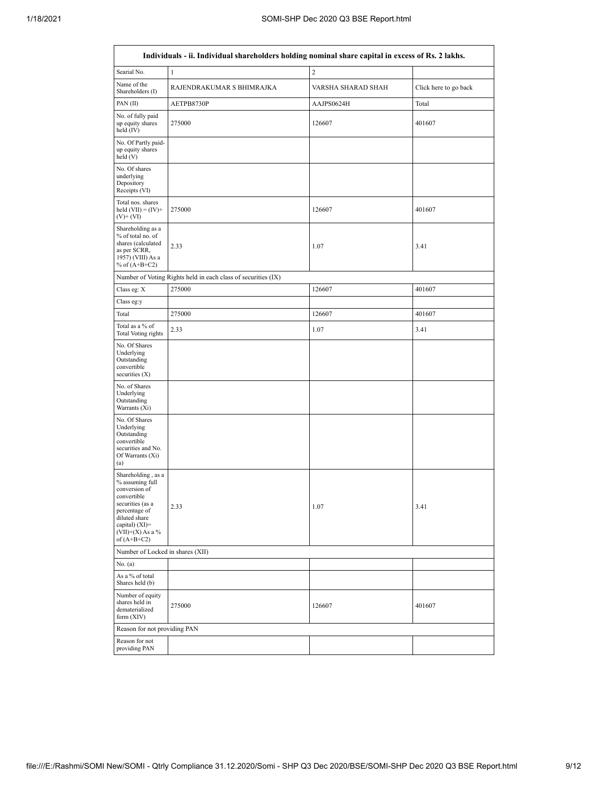٦

|                                                                                                                                                                                      | Individuals - ii. Individual shareholders holding nominal share capital in excess of Rs. 2 lakhs. |                    |                       |
|--------------------------------------------------------------------------------------------------------------------------------------------------------------------------------------|---------------------------------------------------------------------------------------------------|--------------------|-----------------------|
| Searial No.                                                                                                                                                                          | $\mathbf{1}$                                                                                      | $\overline{c}$     |                       |
| Name of the<br>Shareholders (I)                                                                                                                                                      | RAJENDRAKUMAR S BHIMRAJKA                                                                         | VARSHA SHARAD SHAH | Click here to go back |
| PAN (II)                                                                                                                                                                             | AETPB8730P                                                                                        | AAJPS0624H         | Total                 |
| No. of fully paid<br>up equity shares<br>held $(IV)$                                                                                                                                 | 275000                                                                                            | 126607             | 401607                |
| No. Of Partly paid-<br>up equity shares<br>held $(V)$                                                                                                                                |                                                                                                   |                    |                       |
| No. Of shares<br>underlying<br>Depository<br>Receipts (VI)                                                                                                                           |                                                                                                   |                    |                       |
| Total nos. shares<br>held $(VII) = (IV) +$<br>$(V)$ + $(VI)$                                                                                                                         | 275000                                                                                            | 126607             | 401607                |
| Shareholding as a<br>% of total no. of<br>shares (calculated<br>as per SCRR,<br>1957) (VIII) As a<br>% of $(A+B+C2)$                                                                 | 2.33                                                                                              | 1.07               | 3.41                  |
|                                                                                                                                                                                      | Number of Voting Rights held in each class of securities (IX)                                     |                    |                       |
| Class eg: X                                                                                                                                                                          | 275000                                                                                            | 126607             | 401607                |
| Class eg:y                                                                                                                                                                           |                                                                                                   |                    |                       |
| Total                                                                                                                                                                                | 275000                                                                                            | 126607             | 401607                |
| Total as a % of<br><b>Total Voting rights</b>                                                                                                                                        | 2.33                                                                                              | 1.07               | 3.41                  |
| No. Of Shares<br>Underlying<br>Outstanding<br>convertible<br>securities $(X)$                                                                                                        |                                                                                                   |                    |                       |
| No. of Shares<br>Underlying<br>Outstanding<br>Warrants (Xi)                                                                                                                          |                                                                                                   |                    |                       |
| No. Of Shares<br>Underlying<br>Outstanding<br>convertible<br>securities and No.<br>Of Warrants (Xi)<br>(a)                                                                           |                                                                                                   |                    |                       |
| Shareholding, as a<br>% assuming full<br>conversion of<br>convertible<br>securities (as a<br>percentage of<br>diluted share<br>capital) (XI)=<br>$(VII)+(X)$ As a %<br>of $(A+B+C2)$ | 2.33                                                                                              | 1.07               | 3.41                  |
| Number of Locked in shares (XII)                                                                                                                                                     |                                                                                                   |                    |                       |
| No. (a)                                                                                                                                                                              |                                                                                                   |                    |                       |
| As a % of total<br>Shares held (b)                                                                                                                                                   |                                                                                                   |                    |                       |
| Number of equity<br>shares held in<br>dematerialized<br>form $(XIV)$                                                                                                                 | 275000                                                                                            | 126607             | 401607                |
| Reason for not providing PAN                                                                                                                                                         |                                                                                                   |                    |                       |
| Reason for not<br>providing PAN                                                                                                                                                      |                                                                                                   |                    |                       |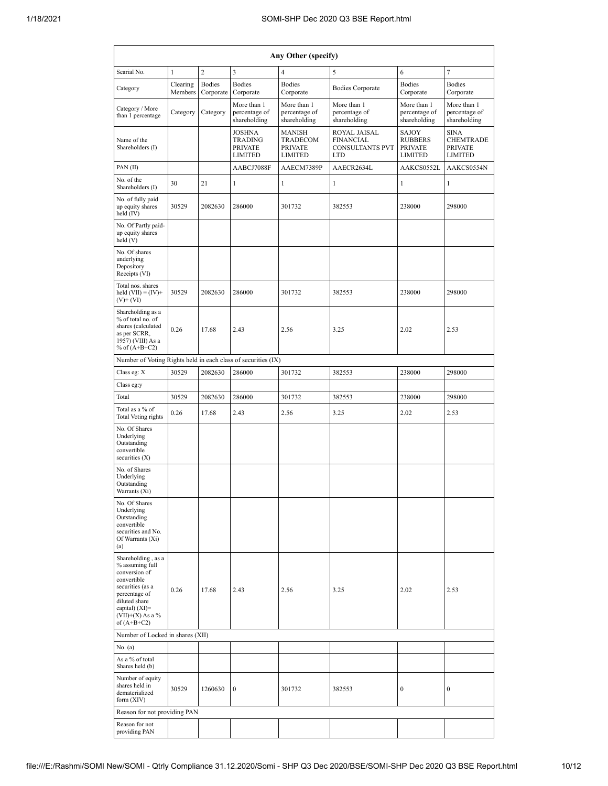| Any Other (specify)                                                                                                                                                                     |                                                                                                                     |                            |                                              |                                                                          |                                                             |                                                                     |                                              |  |  |  |  |  |  |  |
|-----------------------------------------------------------------------------------------------------------------------------------------------------------------------------------------|---------------------------------------------------------------------------------------------------------------------|----------------------------|----------------------------------------------|--------------------------------------------------------------------------|-------------------------------------------------------------|---------------------------------------------------------------------|----------------------------------------------|--|--|--|--|--|--|--|
| Searial No.                                                                                                                                                                             | $\overline{c}$<br>3<br>$\tau$<br>$\mathbf{1}$<br>$\overline{\mathcal{L}}$<br>5<br>6                                 |                            |                                              |                                                                          |                                                             |                                                                     |                                              |  |  |  |  |  |  |  |
| Category                                                                                                                                                                                | Clearing<br>Members                                                                                                 | <b>Bodies</b><br>Corporate | <b>Bodies</b><br>Corporate                   | <b>Bodies</b><br>Corporate                                               | <b>Bodies Corporate</b>                                     | <b>Bodies</b><br>Corporate                                          | <b>Bodies</b><br>Corporate                   |  |  |  |  |  |  |  |
| Category / More<br>than 1 percentage                                                                                                                                                    | Category                                                                                                            | Category                   | More than 1<br>percentage of<br>shareholding | More than 1<br>percentage of<br>shareholding                             | More than 1<br>percentage of<br>shareholding                | More than 1<br>percentage of<br>shareholding                        | More than 1<br>percentage of<br>shareholding |  |  |  |  |  |  |  |
| Name of the<br>Shareholders (I)                                                                                                                                                         | <b>JOSHNA</b><br><b>TRADING</b><br>TRADECOM<br><b>PRIVATE</b><br><b>PRIVATE</b><br><b>LIMITED</b><br><b>LIMITED</b> |                            | MANISH                                       | ROYAL JAISAL<br><b>FINANCIAL</b><br><b>CONSULTANTS PVT</b><br><b>LTD</b> | SAJOY<br><b>RUBBERS</b><br><b>PRIVATE</b><br><b>LIMITED</b> | <b>SINA</b><br><b>CHEMTRADE</b><br><b>PRIVATE</b><br><b>LIMITED</b> |                                              |  |  |  |  |  |  |  |
| PAN (II)                                                                                                                                                                                |                                                                                                                     |                            | AABCJ7088F                                   | AAECM7389P                                                               | AAECR2634L                                                  | AAKCS0552L                                                          | AAKCS0554N                                   |  |  |  |  |  |  |  |
| No. of the<br>Shareholders (I)                                                                                                                                                          | 30                                                                                                                  | 21                         | $\mathbf{1}$                                 | 1<br>1<br>1                                                              |                                                             |                                                                     | 1                                            |  |  |  |  |  |  |  |
| No. of fully paid<br>up equity shares<br>held (IV)                                                                                                                                      | 30529                                                                                                               | 2082630                    | 286000                                       | 301732                                                                   | 382553                                                      | 238000                                                              | 298000                                       |  |  |  |  |  |  |  |
| No. Of Partly paid-<br>up equity shares<br>held (V)                                                                                                                                     |                                                                                                                     |                            |                                              |                                                                          |                                                             |                                                                     |                                              |  |  |  |  |  |  |  |
| No. Of shares<br>underlying<br>Depository<br>Receipts (VI)                                                                                                                              |                                                                                                                     |                            |                                              |                                                                          |                                                             |                                                                     |                                              |  |  |  |  |  |  |  |
| Total nos, shares<br>held $(VII) = (IV) +$<br>$(V)$ + $(VI)$                                                                                                                            | 30529                                                                                                               | 2082630                    | 286000                                       | 301732                                                                   | 382553                                                      | 238000                                                              | 298000                                       |  |  |  |  |  |  |  |
| Shareholding as a<br>% of total no. of<br>shares (calculated<br>as per SCRR,<br>1957) (VIII) As a<br>% of $(A+B+C2)$                                                                    | 0.26                                                                                                                | 17.68                      | 2.43                                         | 2.56                                                                     | 3.25                                                        | 2.02                                                                | 2.53                                         |  |  |  |  |  |  |  |
| Number of Voting Rights held in each class of securities (IX)                                                                                                                           |                                                                                                                     |                            |                                              |                                                                          |                                                             |                                                                     |                                              |  |  |  |  |  |  |  |
| Class eg: X                                                                                                                                                                             | 30529                                                                                                               | 2082630                    | 286000                                       | 301732                                                                   | 382553                                                      | 238000                                                              | 298000                                       |  |  |  |  |  |  |  |
| Class eg:y                                                                                                                                                                              |                                                                                                                     |                            |                                              |                                                                          |                                                             |                                                                     |                                              |  |  |  |  |  |  |  |
| Total                                                                                                                                                                                   | 30529                                                                                                               | 2082630                    | 286000                                       | 301732                                                                   | 382553                                                      | 238000                                                              | 298000                                       |  |  |  |  |  |  |  |
| Total as a % of<br><b>Total Voting rights</b>                                                                                                                                           | 0.26                                                                                                                | 17.68                      | 2.43                                         | 2.56                                                                     | 3.25                                                        | 2.02                                                                | 2.53                                         |  |  |  |  |  |  |  |
| No. Of Shares<br>Underlying<br>Outstanding<br>convertible<br>securities $(X)$                                                                                                           |                                                                                                                     |                            |                                              |                                                                          |                                                             |                                                                     |                                              |  |  |  |  |  |  |  |
| No. of Shares<br>Underlying<br>Outstanding<br>Warrants (Xi)                                                                                                                             |                                                                                                                     |                            |                                              |                                                                          |                                                             |                                                                     |                                              |  |  |  |  |  |  |  |
| No. Of Shares<br>Underlying<br>Outstanding<br>convertible<br>securities and No.<br>Of Warrants (Xi)<br>(a)                                                                              |                                                                                                                     |                            |                                              |                                                                          |                                                             |                                                                     |                                              |  |  |  |  |  |  |  |
| Shareholding, as a<br>% assuming full<br>conversion of<br>convertible<br>securities (as a<br>percentage of<br>diluted share<br>capital) $(XI)$ =<br>$(VII)+(X)$ As a %<br>of $(A+B+C2)$ | 0.26                                                                                                                | 17.68                      | 2.43                                         | 2.56                                                                     | 3.25                                                        | 2.02                                                                | 2.53                                         |  |  |  |  |  |  |  |
| Number of Locked in shares (XII)                                                                                                                                                        |                                                                                                                     |                            |                                              |                                                                          |                                                             |                                                                     |                                              |  |  |  |  |  |  |  |
| No. (a)                                                                                                                                                                                 |                                                                                                                     |                            |                                              |                                                                          |                                                             |                                                                     |                                              |  |  |  |  |  |  |  |
| As a % of total<br>Shares held (b)                                                                                                                                                      |                                                                                                                     |                            |                                              |                                                                          |                                                             |                                                                     |                                              |  |  |  |  |  |  |  |
| Number of equity<br>shares held in<br>dematerialized<br>form (XIV)                                                                                                                      | 30529                                                                                                               | 1260630                    | $\mathbf{0}$                                 | 301732                                                                   | 382553                                                      | $\boldsymbol{0}$                                                    | $\boldsymbol{0}$                             |  |  |  |  |  |  |  |
| Reason for not providing PAN                                                                                                                                                            |                                                                                                                     |                            |                                              |                                                                          |                                                             |                                                                     |                                              |  |  |  |  |  |  |  |
| Reason for not<br>providing PAN                                                                                                                                                         |                                                                                                                     |                            |                                              |                                                                          |                                                             |                                                                     |                                              |  |  |  |  |  |  |  |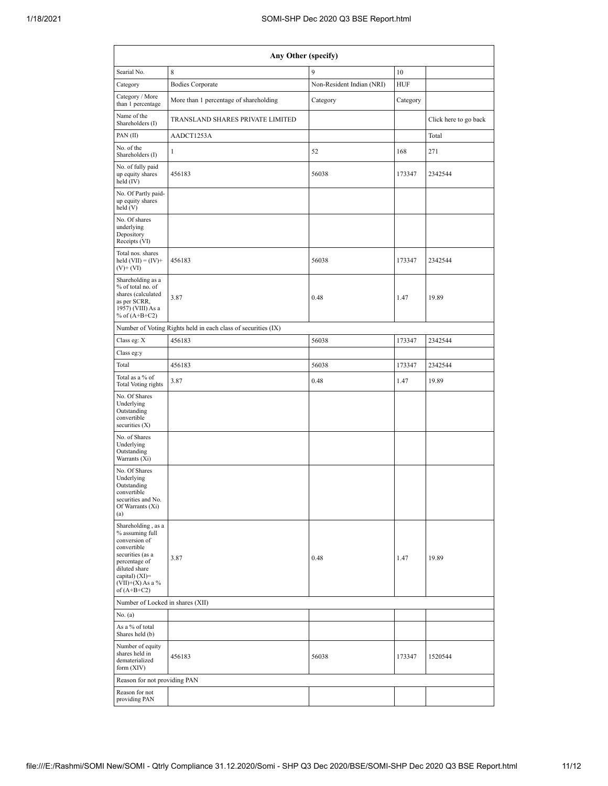| Any Other (specify)                                                                                                                                                                  |                                                               |                           |            |                       |  |  |  |  |  |  |  |  |
|--------------------------------------------------------------------------------------------------------------------------------------------------------------------------------------|---------------------------------------------------------------|---------------------------|------------|-----------------------|--|--|--|--|--|--|--|--|
| Searial No.                                                                                                                                                                          | 8                                                             | 9                         | 10         |                       |  |  |  |  |  |  |  |  |
| Category                                                                                                                                                                             | <b>Bodies Corporate</b>                                       | Non-Resident Indian (NRI) | <b>HUF</b> |                       |  |  |  |  |  |  |  |  |
| Category / More<br>than 1 percentage                                                                                                                                                 | More than 1 percentage of shareholding                        | Category                  | Category   |                       |  |  |  |  |  |  |  |  |
| Name of the<br>Shareholders (I)                                                                                                                                                      | TRANSLAND SHARES PRIVATE LIMITED                              |                           |            | Click here to go back |  |  |  |  |  |  |  |  |
| PAN (II)                                                                                                                                                                             | AADCT1253A                                                    |                           |            | Total                 |  |  |  |  |  |  |  |  |
| No. of the<br>Shareholders (I)                                                                                                                                                       | 1                                                             | 52                        | 168        | 271                   |  |  |  |  |  |  |  |  |
| No. of fully paid<br>up equity shares<br>held (IV)                                                                                                                                   | 456183                                                        | 56038                     | 173347     | 2342544               |  |  |  |  |  |  |  |  |
| No. Of Partly paid-<br>up equity shares<br>held (V)                                                                                                                                  |                                                               |                           |            |                       |  |  |  |  |  |  |  |  |
| No. Of shares<br>underlying<br>Depository<br>Receipts (VI)                                                                                                                           |                                                               |                           |            |                       |  |  |  |  |  |  |  |  |
| Total nos. shares<br>held $(VII) = (IV) +$<br>$(V)$ + $(VI)$                                                                                                                         | 456183                                                        | 56038                     | 173347     | 2342544               |  |  |  |  |  |  |  |  |
| Shareholding as a<br>% of total no. of<br>shares (calculated<br>as per SCRR,<br>1957) (VIII) As a<br>% of $(A+B+C2)$                                                                 | 3.87                                                          | 0.48                      | 1.47       | 19.89                 |  |  |  |  |  |  |  |  |
|                                                                                                                                                                                      | Number of Voting Rights held in each class of securities (IX) |                           |            |                       |  |  |  |  |  |  |  |  |
| Class eg: X                                                                                                                                                                          | 456183                                                        | 56038                     | 173347     | 2342544               |  |  |  |  |  |  |  |  |
| Class eg:y                                                                                                                                                                           |                                                               |                           |            |                       |  |  |  |  |  |  |  |  |
| Total                                                                                                                                                                                | 456183                                                        | 56038                     | 173347     | 2342544               |  |  |  |  |  |  |  |  |
| Total as a % of<br><b>Total Voting rights</b>                                                                                                                                        | 3.87                                                          | 0.48                      | 1.47       | 19.89                 |  |  |  |  |  |  |  |  |
| No. Of Shares<br>Underlying<br>Outstanding<br>convertible<br>securities $(X)$                                                                                                        |                                                               |                           |            |                       |  |  |  |  |  |  |  |  |
| No. of Shares<br>Underlying<br>Outstanding<br>Warrants (Xi)                                                                                                                          |                                                               |                           |            |                       |  |  |  |  |  |  |  |  |
| No. Of Shares<br>Underlying<br>Outstanding<br>convertible<br>securities and No.<br>Of Warrants (Xi)<br>(a)                                                                           |                                                               |                           |            |                       |  |  |  |  |  |  |  |  |
| Shareholding, as a<br>% assuming full<br>conversion of<br>convertible<br>securities (as a<br>percentage of<br>diluted share<br>capital) (XI)=<br>$(VII)+(X)$ As a %<br>of $(A+B+C2)$ | 3.87                                                          | 0.48                      | 1.47       | 19.89                 |  |  |  |  |  |  |  |  |
| Number of Locked in shares (XII)                                                                                                                                                     |                                                               |                           |            |                       |  |  |  |  |  |  |  |  |
| No. (a)                                                                                                                                                                              |                                                               |                           |            |                       |  |  |  |  |  |  |  |  |
| As a % of total<br>Shares held (b)                                                                                                                                                   |                                                               |                           |            |                       |  |  |  |  |  |  |  |  |
| Number of equity<br>shares held in<br>dematerialized<br>form (XIV)                                                                                                                   | 456183                                                        | 56038                     | 173347     | 1520544               |  |  |  |  |  |  |  |  |
| Reason for not providing PAN                                                                                                                                                         |                                                               |                           |            |                       |  |  |  |  |  |  |  |  |
| Reason for not<br>providing PAN                                                                                                                                                      |                                                               |                           |            |                       |  |  |  |  |  |  |  |  |